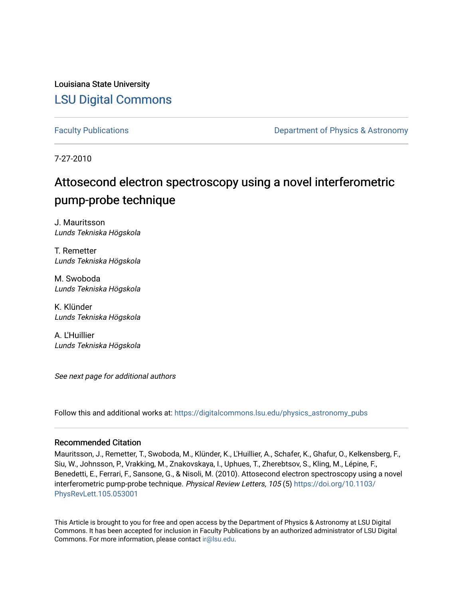Louisiana State University [LSU Digital Commons](https://digitalcommons.lsu.edu/)

[Faculty Publications](https://digitalcommons.lsu.edu/physics_astronomy_pubs) **Exercise 2 and Table 2 and Table 2 and Table 2 and Table 2 and Table 2 and Table 2 and Table 2 and Table 2 and Table 2 and Table 2 and Table 2 and Table 2 and Table 2 and Table 2 and Table 2 and Table** 

7-27-2010

## Attosecond electron spectroscopy using a novel interferometric pump-probe technique

J. Mauritsson Lunds Tekniska Högskola

T. Remetter Lunds Tekniska Högskola

M. Swoboda Lunds Tekniska Högskola

K. Klünder Lunds Tekniska Högskola

A. L'Huillier Lunds Tekniska Högskola

See next page for additional authors

Follow this and additional works at: [https://digitalcommons.lsu.edu/physics\\_astronomy\\_pubs](https://digitalcommons.lsu.edu/physics_astronomy_pubs?utm_source=digitalcommons.lsu.edu%2Fphysics_astronomy_pubs%2F4889&utm_medium=PDF&utm_campaign=PDFCoverPages) 

## Recommended Citation

Mauritsson, J., Remetter, T., Swoboda, M., Klünder, K., L'Huillier, A., Schafer, K., Ghafur, O., Kelkensberg, F., Siu, W., Johnsson, P., Vrakking, M., Znakovskaya, I., Uphues, T., Zherebtsov, S., Kling, M., Lépine, F., Benedetti, E., Ferrari, F., Sansone, G., & Nisoli, M. (2010). Attosecond electron spectroscopy using a novel interferometric pump-probe technique. Physical Review Letters, 105 (5) [https://doi.org/10.1103/](https://doi.org/10.1103/PhysRevLett.105.053001) [PhysRevLett.105.053001](https://doi.org/10.1103/PhysRevLett.105.053001) 

This Article is brought to you for free and open access by the Department of Physics & Astronomy at LSU Digital Commons. It has been accepted for inclusion in Faculty Publications by an authorized administrator of LSU Digital Commons. For more information, please contact [ir@lsu.edu](mailto:ir@lsu.edu).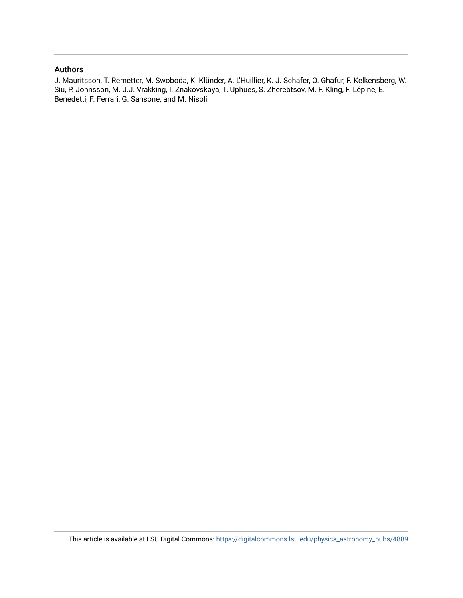## Authors

J. Mauritsson, T. Remetter, M. Swoboda, K. Klünder, A. L'Huillier, K. J. Schafer, O. Ghafur, F. Kelkensberg, W. Siu, P. Johnsson, M. J.J. Vrakking, I. Znakovskaya, T. Uphues, S. Zherebtsov, M. F. Kling, F. Lépine, E. Benedetti, F. Ferrari, G. Sansone, and M. Nisoli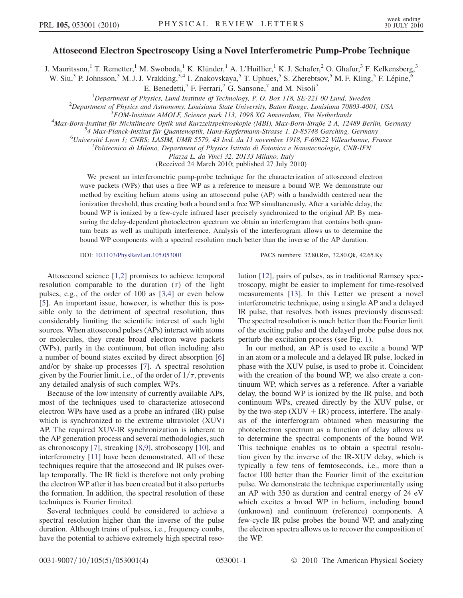## Attosecond Electron Spectroscopy Using a Novel Interferometric Pump-Probe Technique

J. Mauritsson,<sup>1</sup> T. Remetter,<sup>1</sup> M. Swoboda,<sup>1</sup> K. Klünder,<sup>1</sup> A. L'Huillier,<sup>1</sup> K. J. Schafer,<sup>2</sup> O. Ghafur,<sup>3</sup> F. Kelkensberg,<sup>3</sup>

W. Siu,<sup>3</sup> P. Johnsson,<sup>3</sup> M. J. J. Vrakking,<sup>3,4</sup> I. Znakovskaya,<sup>5</sup> T. Uphues,<sup>5</sup> S. Zherebtsov,<sup>5</sup> M. F. Kling,<sup>5</sup> F. Lépine,<sup>6</sup>

E. Benedetti,<sup>7</sup> F. Ferrari,<sup>7</sup> G. Sansone,<sup>7</sup> and M. Nisoli<sup>7</sup>

<sup>1</sup>Department of Physics, Lund Institute of Technology, P. O. Box 118, SE-221 00 Lund, Sweden<br><sup>2</sup>Department of Physics and Astronomy Louisiang State University Baton Rouge, Louisiang 70803 400

 $^2$ Department of Physics and Astronomy, Louisiana State University, Baton Rouge, Louisiana 70803-4001, USA

 ${}^{3}$ FOM-Institute AMOLF, Science park 113, 1098 XG Amsterdam, The Netherlands

<sup>4</sup>Max-Born-Institut für Nichtlineare Optik und Kurzzeitspektroskopie (MBI), Max-Born-Straße 2 A, 12489 Berlin, Germany

 $^{54}$  Max-Planck-Institut für Quantenoptik, Hans-Kopfermann-Strasse 1, D-85748 Garching, Germany

 $^{6}$ Université Lyon 1; CNRS; LASIM, UMR 5579, 43 bvd. du 11 novembre 1918, F-69622 Villeurbanne, France

Politecnico di Milano, Department of Physics Istituto di Fotonica e Nanotecnologie, CNR-IFN

Piazza L. da Vinci 32, 20133 Milano, Italy

(Received 24 March 2010; published 27 July 2010)

We present an interferometric pump-probe technique for the characterization of attosecond electron wave packets (WPs) that uses a free WP as a reference to measure a bound WP. We demonstrate our method by exciting helium atoms using an attosecond pulse (AP) with a bandwidth centered near the ionization threshold, thus creating both a bound and a free WP simultaneously. After a variable delay, the bound WP is ionized by a few-cycle infrared laser precisely synchronized to the original AP. By measuring the delay-dependent photoelectron spectrum we obtain an interferogram that contains both quantum beats as well as multipath interference. Analysis of the interferogram allows us to determine the bound WP components with a spectral resolution much better than the inverse of the AP duration.

DOI: [10.1103/PhysRevLett.105.053001](http://dx.doi.org/10.1103/PhysRevLett.105.053001) PACS numbers: 32.80.Rm, 32.80.Qk, 42.65.Ky

Attosecond science [\[1](#page-5-0)[,2\]](#page-5-1) promises to achieve temporal resolution comparable to the duration  $(\tau)$  of the light pulses, e.g., of the order of 100 as [[3](#page-5-2),[4\]](#page-5-3) or even below [\[5\]](#page-5-4). An important issue, however, is whether this is possible only to the detriment of spectral resolution, thus considerably limiting the scientific interest of such light sources. When attosecond pulses (APs) interact with atoms or molecules, they create broad electron wave packets (WPs), partly in the continuum, but often including also a number of bound states excited by direct absorption [\[6\]](#page-5-5) and/or by shake-up processes [\[7\]](#page-5-6). A spectral resolution given by the Fourier limit, i.e., of the order of  $1/\tau$ , prevents any detailed analysis of such complex WPs.

Because of the low intensity of currently available APs, most of the techniques used to characterize attosecond electron WPs have used as a probe an infrared (IR) pulse which is synchronized to the extreme ultraviolet (XUV) AP. The required XUV-IR synchronization is inherent to the AP generation process and several methodologies, such as chronoscopy [[7\]](#page-5-6), streaking [\[8](#page-5-7),[9](#page-5-8)], stroboscopy [\[10\]](#page-5-9), and interferometry [[11](#page-5-10)] have been demonstrated. All of these techniques require that the attosecond and IR pulses overlap temporally. The IR field is therefore not only probing the electron WP after it has been created but it also perturbs the formation. In addition, the spectral resolution of these techniques is Fourier limited.

Several techniques could be considered to achieve a spectral resolution higher than the inverse of the pulse duration. Although trains of pulses, i.e., frequency combs, have the potential to achieve extremely high spectral resolution [[12](#page-5-11)], pairs of pulses, as in traditional Ramsey spectroscopy, might be easier to implement for time-resolved measurements [\[13\]](#page-5-12). In this Letter we present a novel interferometric technique, using a single AP and a delayed IR pulse, that resolves both issues previously discussed: The spectral resolution is much better than the Fourier limit of the exciting pulse and the delayed probe pulse does not perturb the excitation process (see Fig. [1\)](#page-3-0).

In our method, an AP is used to excite a bound WP in an atom or a molecule and a delayed IR pulse, locked in phase with the XUV pulse, is used to probe it. Coincident with the creation of the bound WP, we also create a continuum WP, which serves as a reference. After a variable delay, the bound WP is ionized by the IR pulse, and both continuum WPs, created directly by the XUV pulse, or by the two-step  $(XUV + IR)$  process, interfere. The analysis of the interferogram obtained when measuring the photoelectron spectrum as a function of delay allows us to determine the spectral components of the bound WP. This technique enables us to obtain a spectral resolution given by the inverse of the IR-XUV delay, which is typically a few tens of femtoseconds, i.e., more than a factor 100 better than the Fourier limit of the excitation pulse. We demonstrate the technique experimentally using an AP with 350 as duration and central energy of 24 eV which excites a broad WP in helium, including bound (unknown) and continuum (reference) components. A few-cycle IR pulse probes the bound WP, and analyzing the electron spectra allows us to recover the composition of the WP.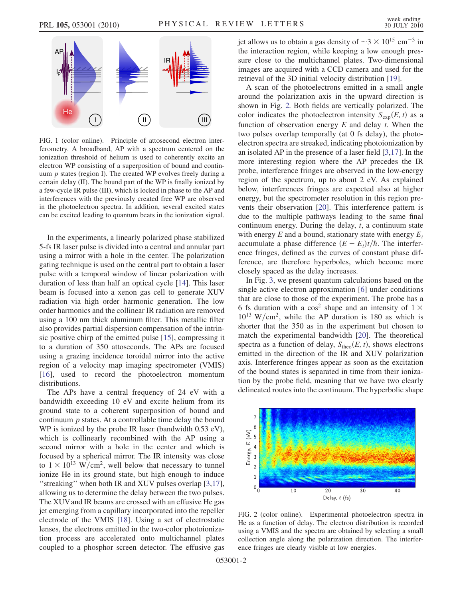<span id="page-3-0"></span>

FIG. 1 (color online). Principle of attosecond electron interferometry. A broadband, AP with a spectrum centered on the ionization threshold of helium is used to coherently excite an electron WP consisting of a superposition of bound and continuum  $p$  states (region I). The created WP evolves freely during a certain delay (II). The bound part of the WP is finally ionized by a few-cycle IR pulse (III), which is locked in phase to the AP and interferences with the previously created free WP are observed in the photoelectron spectra. In addition, several excited states can be excited leading to quantum beats in the ionization signal.

In the experiments, a linearly polarized phase stabilized 5-fs IR laser pulse is divided into a central and annular part using a mirror with a hole in the center. The polarization gating technique is used on the central part to obtain a laser pulse with a temporal window of linear polarization with duration of less than half an optical cycle [[14](#page-5-13)]. This laser beam is focused into a xenon gas cell to generate XUV radiation via high order harmonic generation. The low order harmonics and the collinear IR radiation are removed using a 100 nm thick aluminum filter. This metallic filter also provides partial dispersion compensation of the intrinsic positive chirp of the emitted pulse [\[15\]](#page-5-14), compressing it to a duration of 350 attoseconds. The APs are focused using a grazing incidence toroidal mirror into the active region of a velocity map imaging spectrometer (VMIS) [\[16\]](#page-5-15), used to record the photoelectron momentum distributions.

The APs have a central frequency of 24 eV with a bandwidth exceeding 10 eV and excite helium from its ground state to a coherent superposition of bound and continuum  $p$  states. At a controllable time delay the bound WP is ionized by the probe IR laser (bandwidth 0.53 eV), which is collinearly recombined with the AP using a second mirror with a hole in the center and which is focused by a spherical mirror. The IR intensity was close to  $1 \times 10^{13}$  W/cm<sup>2</sup>, well below that necessary to tunnel ionize He in its ground state, but high enough to induce ''streaking'' when both IR and XUV pulses overlap [[3,](#page-5-2)[17\]](#page-5-16), allowing us to determine the delay between the two pulses. The XUVand IR beams are crossed with an effusive He gas jet emerging from a capillary incorporated into the repeller electrode of the VMIS [[18\]](#page-5-17). Using a set of electrostatic lenses, the electrons emitted in the two-color photoionization process are accelerated onto multichannel plates coupled to a phosphor screen detector. The effusive gas

jet allows us to obtain a gas density of  $\sim$ 3  $\times$  10<sup>15</sup> cm<sup>-3</sup> in the interaction region, while keeping a low enough pressure close to the multichannel plates. Two-dimensional images are acquired with a CCD camera and used for the retrieval of the 3D initial velocity distribution [\[19\]](#page-5-18).

A scan of the photoelectrons emitted in a small angle around the polarization axis in the upward direction is shown in Fig. [2.](#page-3-1) Both fields are vertically polarized. The color indicates the photoelectron intensity  $S_{\text{exp}}(E, t)$  as a function of observation energy  $E$  and delay  $t$ . When the two pulses overlap temporally (at 0 fs delay), the photoelectron spectra are streaked, indicating photoionization by an isolated AP in the presence of a laser field [\[3](#page-5-2),[17](#page-5-16)]. In the more interesting region where the AP precedes the IR probe, interference fringes are observed in the low-energy region of the spectrum, up to about 2 eV. As explained below, interferences fringes are expected also at higher energy, but the spectrometer resolution in this region prevents their observation [\[20\]](#page-5-19). This interference pattern is due to the multiple pathways leading to the same final continuum energy. During the delay,  $t$ , a continuum state with energy  $E$  and a bound, stationary state with energy  $E_i$ accumulate a phase difference  $(E - E_i)t/\hbar$ . The interference fringes, defined as the curves of constant phase difference, are therefore hyperboles, which become more closely spaced as the delay increases.

In Fig. [3](#page-4-0), we present quantum calculations based on the single active electron approximation [[6](#page-5-5)] under conditions that are close to those of the experiment. The probe has a 6 fs duration with a  $\cos^2$  shape and an intensity of  $1 \times$  $10^{13}$  W/cm<sup>2</sup>, while the AP duration is 180 as which is shorter that the 350 as in the experiment but chosen to match the experimental bandwidth [[20](#page-5-19)]. The theoretical spectra as a function of delay,  $S_{\text{theo}}(E, t)$ , shows electrons emitted in the direction of the IR and XUV polarization axis. Interference fringes appear as soon as the excitation of the bound states is separated in time from their ionization by the probe field, meaning that we have two clearly delineated routes into the continuum. The hyperbolic shape

<span id="page-3-1"></span>

FIG. 2 (color online). Experimental photoelectron spectra in He as a function of delay. The electron distribution is recorded using a VMIS and the spectra are obtained by selecting a small collection angle along the polarization direction. The interference fringes are clearly visible at low energies.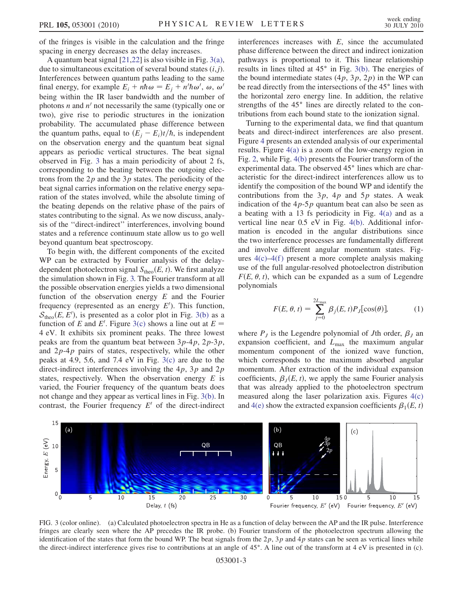of the fringes is visible in the calculation and the fringe spacing in energy decreases as the delay increases.

A quantum beat signal [\[21](#page-5-20)[,22\]](#page-5-21) is also visible in Fig. [3\(a\)](#page-4-1), due to simultaneous excitation of several bound states  $(i, j)$ . Interferences between quantum paths leading to the same final energy, for example  $E_i + n\hbar \omega = E_j + n'\hbar \omega'$ ,  $\omega$ ,  $\omega'$ being within the IR laser bandwidth and the number of photons *n* and  $n'$  not necessarily the same (typically one or two), give rise to periodic structures in the ionization probability. The accumulated phase difference between the quantum paths, equal to  $(E_i - E_i)t/\hbar$ , is independent on the observation energy and the quantum beat signal appears as periodic vertical structures. The beat signal observed in Fig. [3](#page-4-0) has a main periodicity of about 2 fs, corresponding to the beating between the outgoing electrons from the  $2p$  and the  $3p$  states. The periodicity of the beat signal carries information on the relative energy separation of the states involved, while the absolute timing of the beating depends on the relative phase of the pairs of states contributing to the signal. As we now discuss, analysis of the ''direct-indirect'' interferences, involving bound states and a reference continuum state allow us to go well beyond quantum beat spectroscopy.

To begin with, the different components of the excited WP can be extracted by Fourier analysis of the delaydependent photoelectron signal  $S_{\text{theo}}(E, t)$ . We first analyze the simulation shown in Fig. [3.](#page-4-0) The Fourier transform at all the possible observation energies yields a two dimensional function of the observation energy  $E$  and the Fourier frequency (represented as an energy  $E'$ ). This function,  $S_{\text{theo}}(E, E')$ , is presented as a color plot in Fig. [3\(b\)](#page-4-1) as a function of E and E'. Figure [3\(c\)](#page-4-1) shows a line out at  $E =$ 4 eV. It exhibits six prominent peaks. The three lowest peaks are from the quantum beat between  $3p-4p$ ,  $2p-3p$ , and  $2p-4p$  pairs of states, respectively, while the other peaks at 4.9, 5.6, and 7.4 eV in Fig. [3\(c\)](#page-4-1) are due to the direct-indirect interferences involving the  $4p$ ,  $3p$  and  $2p$ states, respectively. When the observation energy  $E$  is varied, the Fourier frequency of the quantum beats does not change and they appear as vertical lines in Fig. [3\(b\)](#page-4-1). In contrast, the Fourier frequency  $E'$  of the direct-indirect interferences increases with  $E$ , since the accumulated phase difference between the direct and indirect ionization pathways is proportional to it. This linear relationship results in lines tilted at  $45^\circ$  in Fig. [3\(b\).](#page-4-1) The energies of the bound intermediate states  $(4p, 3p, 2p)$  in the WP can be read directly from the intersections of the 45° lines with the horizontal zero energy line. In addition, the relative strengths of the  $45^\circ$  lines are directly related to the contributions from each bound state to the ionization signal.

Turning to the experimental data, we find that quantum beats and direct-indirect interferences are also present. Figure [4](#page-5-22) presents an extended analysis of our experimental results. Figure [4\(a\)](#page-5-23) is a zoom of the low-energy region in Fig. [2](#page-3-1), while Fig. [4\(b\)](#page-5-23) presents the Fourier transform of the experimental data. The observed 45° lines which are characteristic for the direct-indirect interferences allow us to identify the composition of the bound WP and identify the contributions from the  $3p$ ,  $4p$  and  $5p$  states. A weak indication of the  $4p-5p$  quantum beat can also be seen as a beating with a 13 fs periodicity in Fig. [4\(a\)](#page-5-23) and as a vertical line near 0.5 eV in Fig. [4\(b\)](#page-5-23). Additional information is encoded in the angular distributions since the two interference processes are fundamentally different and involve different angular momentum states. Figures  $4(c) - 4(f)$  $4(c) - 4(f)$  present a more complete analysis making use of the full angular-resolved photoelectron distribution  $F(E, \theta, t)$ , which can be expanded as a sum of Legendre polynomials

$$
F(E, \theta, t) = \sum_{j=0}^{2L_{\text{max}}} \beta_j(E, t) P_j[\cos(\theta)], \qquad (1)
$$

where  $P_J$  is the Legendre polynomial of Jth order,  $\beta_J$  an expansion coefficient, and  $L_{\text{max}}$  the maximum angular momentum component of the ionized wave function, which corresponds to the maximum absorbed angular momentum. After extraction of the individual expansion coefficients,  $\beta_I(E, t)$ , we apply the same Fourier analysis that was already applied to the photoelectron spectrum measured along the laser polarization axis. Figures [4\(c\)](#page-5-23) and [4\(e\)](#page-5-23) show the extracted expansion coefficients  $\beta_1(E, t)$ 

<span id="page-4-0"></span>

<span id="page-4-1"></span>FIG. 3 (color online). (a) Calculated photoelectron spectra in He as a function of delay between the AP and the IR pulse. Interference fringes are clearly seen where the AP precedes the IR probe. (b) Fourier transform of the photoelectron spectrum allowing the identification of the states that form the bound WP. The beat signals from the  $2p$ ,  $3p$  and  $4p$  states can be seen as vertical lines while the direct-indirect interference gives rise to contributions at an angle of  $45^\circ$ . A line out of the transform at  $4 \text{ eV}$  is presented in (c).